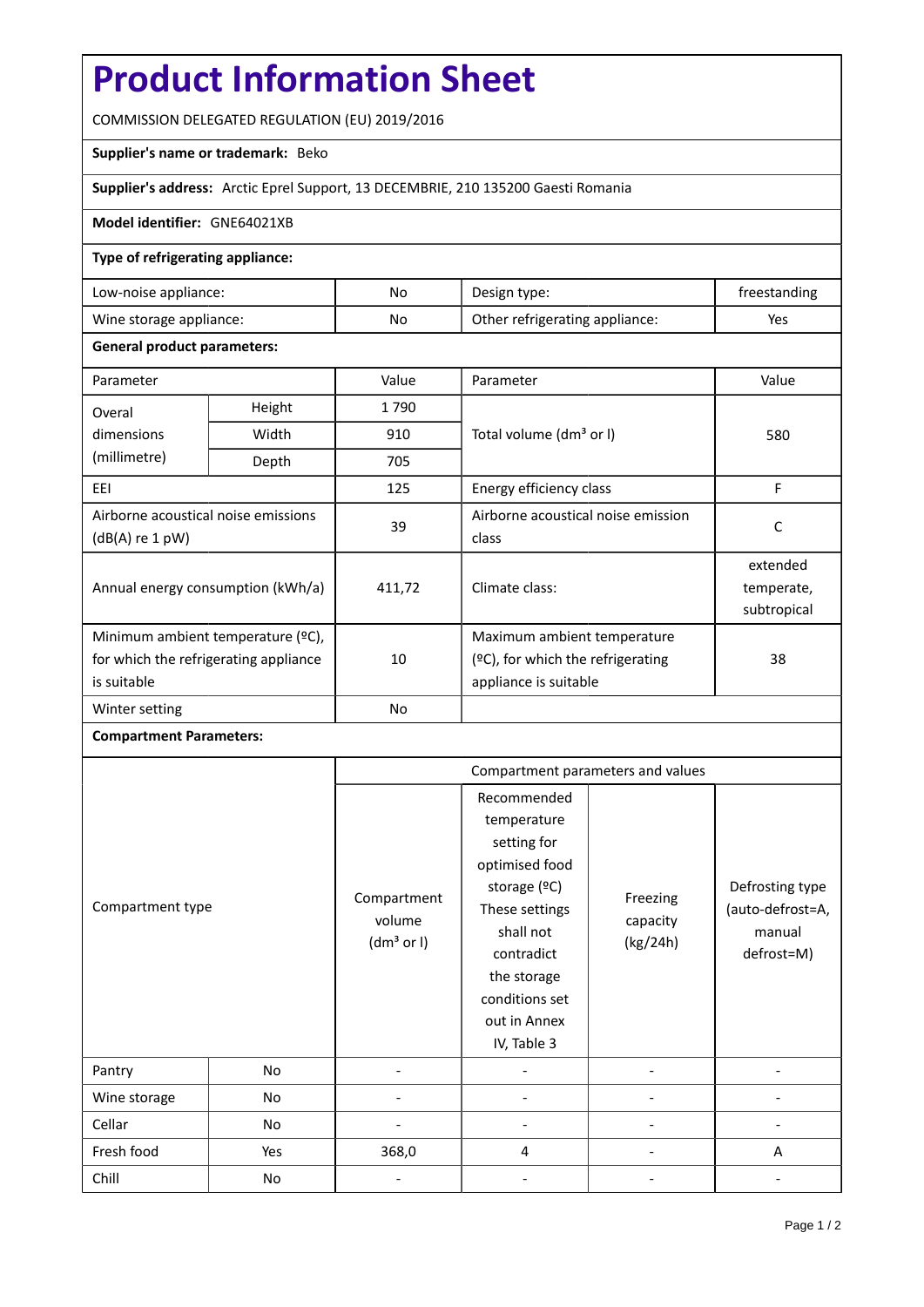# **Product Information Sheet**

COMMISSION DELEGATED REGULATION (EU) 2019/2016

# **Supplier's name or trademark:** Beko

## **Supplier's address:** Arctic Eprel Support, 13 DECEMBRIE, 210 135200 Gaesti Romania

#### **Model identifier:** GNE64021XB

### **Type of refrigerating appliance:**

| Low-noise appliance:    | No. | Design type:                   | treestanding |
|-------------------------|-----|--------------------------------|--------------|
| Wine storage appliance: | No  | Other refrigerating appliance: | Yes          |

#### **General product parameters:**

| Parameter                                              |                | Value          | Parameter                            | Value       |
|--------------------------------------------------------|----------------|----------------|--------------------------------------|-------------|
| Overal                                                 | Height<br>1790 |                |                                      |             |
| dimensions<br>(millimetre)                             | Width          | 910            | Total volume (dm <sup>3</sup> or I)  | 580         |
|                                                        | Depth          | 705            |                                      |             |
| EEI                                                    |                | 125            | Energy efficiency class              | F           |
| Airborne acoustical noise emissions<br>(dB(A) re 1 pW) |                | 39             | Airborne acoustical noise emission   | C           |
|                                                        |                |                | class                                |             |
| Annual energy consumption (kWh/a)                      |                | 411,72         |                                      | extended    |
|                                                        |                |                | Climate class:                       | temperate,  |
|                                                        |                |                |                                      | subtropical |
| Minimum ambient temperature (°C),                      |                |                | Maximum ambient temperature          |             |
| for which the refrigerating appliance<br>is suitable   |                | 10             | $(°C)$ , for which the refrigerating | 38          |
|                                                        |                |                | appliance is suitable                |             |
| Winter setting                                         |                | N <sub>o</sub> |                                      |             |

# **Compartment Parameters:**

|                  |     | Compartment parameters and values               |                                                                                                                                                                                          |                                  |                                                             |
|------------------|-----|-------------------------------------------------|------------------------------------------------------------------------------------------------------------------------------------------------------------------------------------------|----------------------------------|-------------------------------------------------------------|
| Compartment type |     | Compartment<br>volume<br>(dm <sup>3</sup> or I) | Recommended<br>temperature<br>setting for<br>optimised food<br>storage (ºC)<br>These settings<br>shall not<br>contradict<br>the storage<br>conditions set<br>out in Annex<br>IV, Table 3 | Freezing<br>capacity<br>(kg/24h) | Defrosting type<br>(auto-defrost=A,<br>manual<br>defrost=M) |
| Pantry           | No  |                                                 |                                                                                                                                                                                          |                                  |                                                             |
| Wine storage     | No  |                                                 |                                                                                                                                                                                          |                                  |                                                             |
| Cellar           | No  |                                                 |                                                                                                                                                                                          |                                  |                                                             |
| Fresh food       | Yes | 368,0                                           | 4                                                                                                                                                                                        |                                  | A                                                           |
| Chill            | No  |                                                 |                                                                                                                                                                                          |                                  |                                                             |